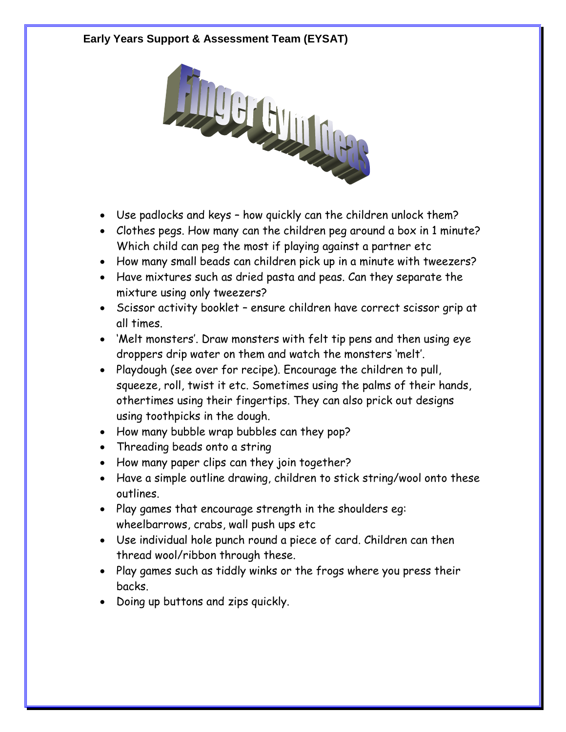## **Early Years Support & Assessment Team (EYSAT)**



- Use padlocks and keys how quickly can the children unlock them?
- Clothes pegs. How many can the children peg around a box in 1 minute? Which child can peg the most if playing against a partner etc
- How many small beads can children pick up in a minute with tweezers?
- Have mixtures such as dried pasta and peas. Can they separate the mixture using only tweezers?
- Scissor activity booklet ensure children have correct scissor grip at all times.
- 'Melt monsters'. Draw monsters with felt tip pens and then using eye droppers drip water on them and watch the monsters 'melt'.
- Playdough (see over for recipe). Encourage the children to pull, squeeze, roll, twist it etc. Sometimes using the palms of their hands, othertimes using their fingertips. They can also prick out designs using toothpicks in the dough.
- How many bubble wrap bubbles can they pop?
- Threading beads onto a string
- How many paper clips can they join together?
- Have a simple outline drawing, children to stick string/wool onto these outlines.
- Play games that encourage strength in the shoulders eg: wheelbarrows, crabs, wall push ups etc
- Use individual hole punch round a piece of card. Children can then thread wool/ribbon through these.
- Play games such as tiddly winks or the frogs where you press their backs.
- Doing up buttons and zips quickly.